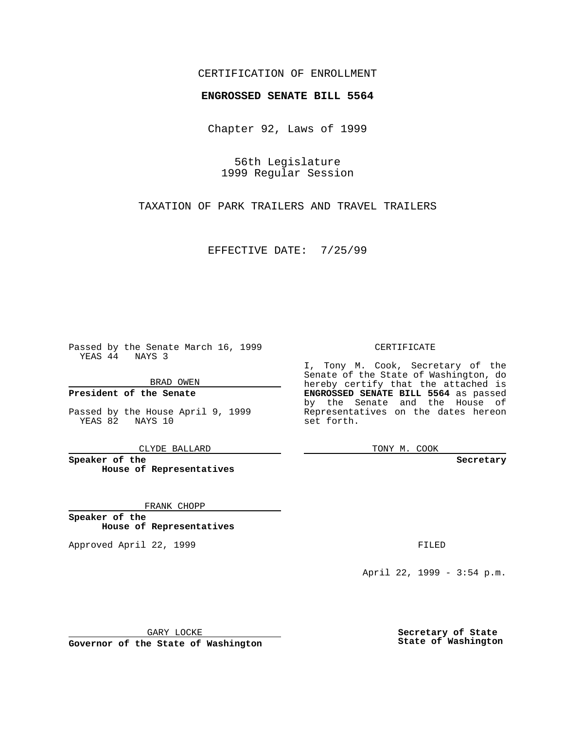### CERTIFICATION OF ENROLLMENT

# **ENGROSSED SENATE BILL 5564**

Chapter 92, Laws of 1999

56th Legislature 1999 Regular Session

TAXATION OF PARK TRAILERS AND TRAVEL TRAILERS

EFFECTIVE DATE: 7/25/99

Passed by the Senate March 16, 1999 YEAS 44 NAYS 3

BRAD OWEN

**President of the Senate**

Passed by the House April 9, 1999 YEAS 82 NAYS 10

CLYDE BALLARD

**Speaker of the House of Representatives**

FRANK CHOPP

**Speaker of the House of Representatives**

Approved April 22, 1999 **FILED** 

### CERTIFICATE

I, Tony M. Cook, Secretary of the Senate of the State of Washington, do hereby certify that the attached is **ENGROSSED SENATE BILL 5564** as passed by the Senate and the House of Representatives on the dates hereon set forth.

TONY M. COOK

#### **Secretary**

April 22, 1999 - 3:54 p.m.

GARY LOCKE

**Governor of the State of Washington**

**Secretary of State State of Washington**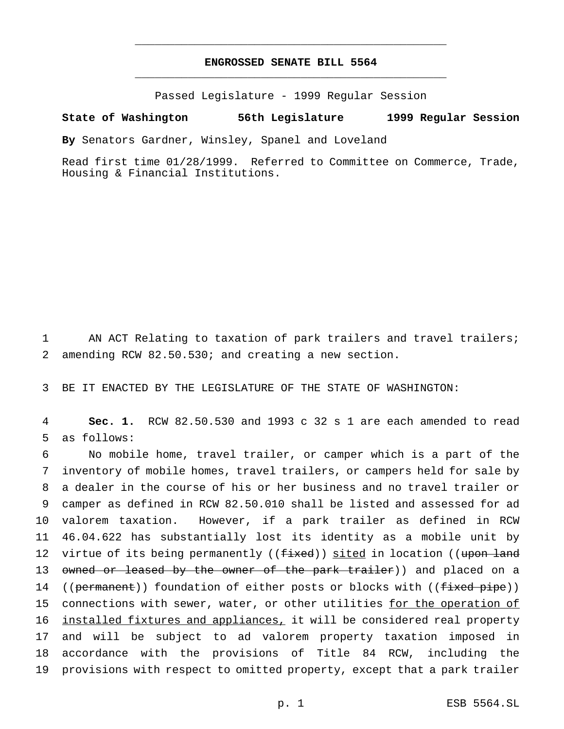## **ENGROSSED SENATE BILL 5564** \_\_\_\_\_\_\_\_\_\_\_\_\_\_\_\_\_\_\_\_\_\_\_\_\_\_\_\_\_\_\_\_\_\_\_\_\_\_\_\_\_\_\_\_\_\_\_

\_\_\_\_\_\_\_\_\_\_\_\_\_\_\_\_\_\_\_\_\_\_\_\_\_\_\_\_\_\_\_\_\_\_\_\_\_\_\_\_\_\_\_\_\_\_\_

Passed Legislature - 1999 Regular Session

#### **State of Washington 56th Legislature 1999 Regular Session**

**By** Senators Gardner, Winsley, Spanel and Loveland

Read first time 01/28/1999. Referred to Committee on Commerce, Trade, Housing & Financial Institutions.

1 AN ACT Relating to taxation of park trailers and travel trailers; 2 amending RCW 82.50.530; and creating a new section.

3 BE IT ENACTED BY THE LEGISLATURE OF THE STATE OF WASHINGTON:

4 **Sec. 1.** RCW 82.50.530 and 1993 c 32 s 1 are each amended to read 5 as follows:

 No mobile home, travel trailer, or camper which is a part of the inventory of mobile homes, travel trailers, or campers held for sale by a dealer in the course of his or her business and no travel trailer or camper as defined in RCW 82.50.010 shall be listed and assessed for ad valorem taxation. However, if a park trailer as defined in RCW 46.04.622 has substantially lost its identity as a mobile unit by 12 virtue of its being permanently ((fixed)) sited in location ((upon land 13 owned or leased by the owner of the park trailer)) and placed on a 14 ((permanent)) foundation of either posts or blocks with ((fixed pipe)) 15 connections with sewer, water, or other utilities for the operation of 16 <u>installed fixtures and appliances,</u> it will be considered real property and will be subject to ad valorem property taxation imposed in accordance with the provisions of Title 84 RCW, including the provisions with respect to omitted property, except that a park trailer